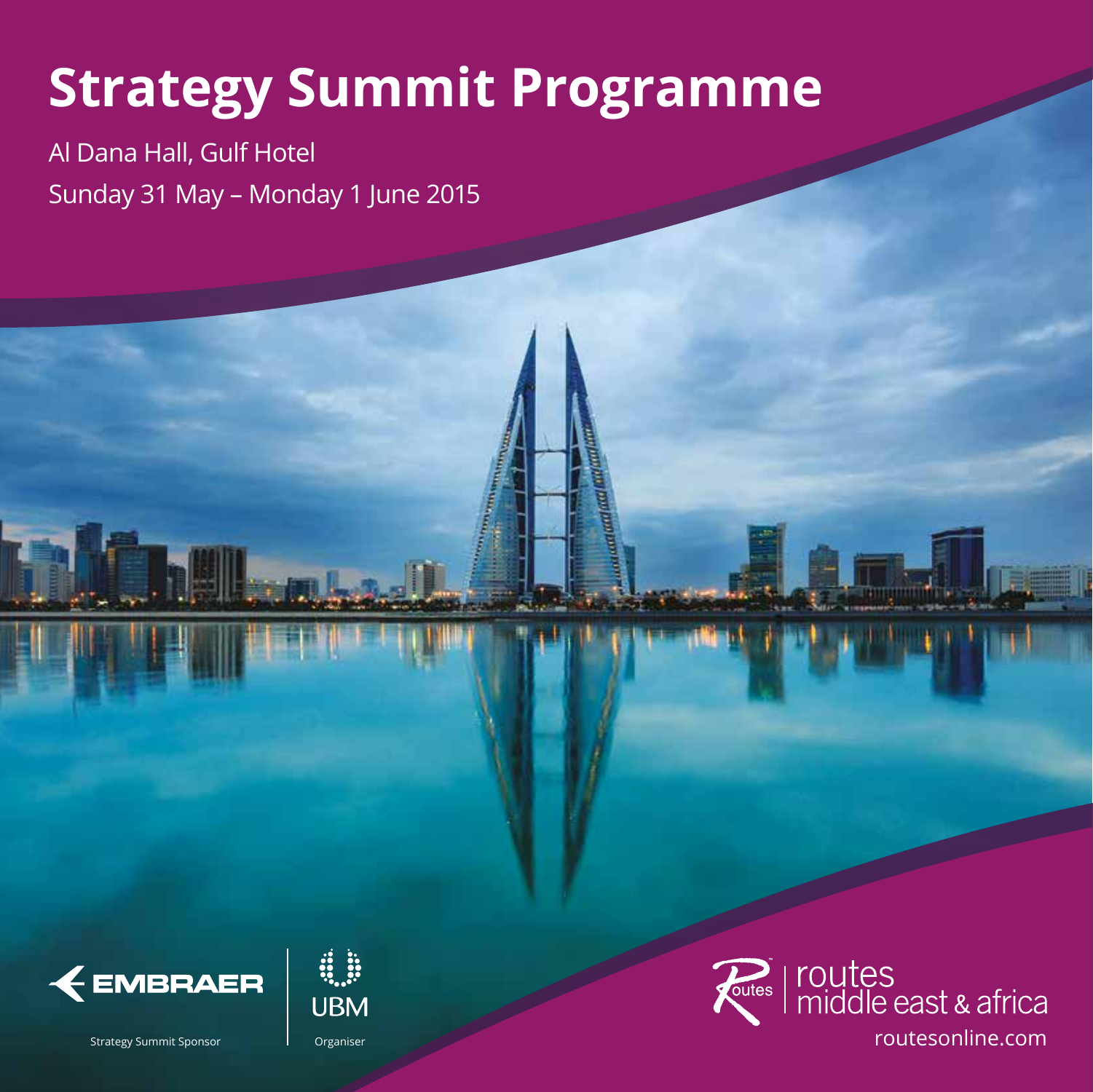# **Strategy Summit Programme**

Al Dana Hall, Gulf Hotel Sunday 31 May – Monday 1 June 2015





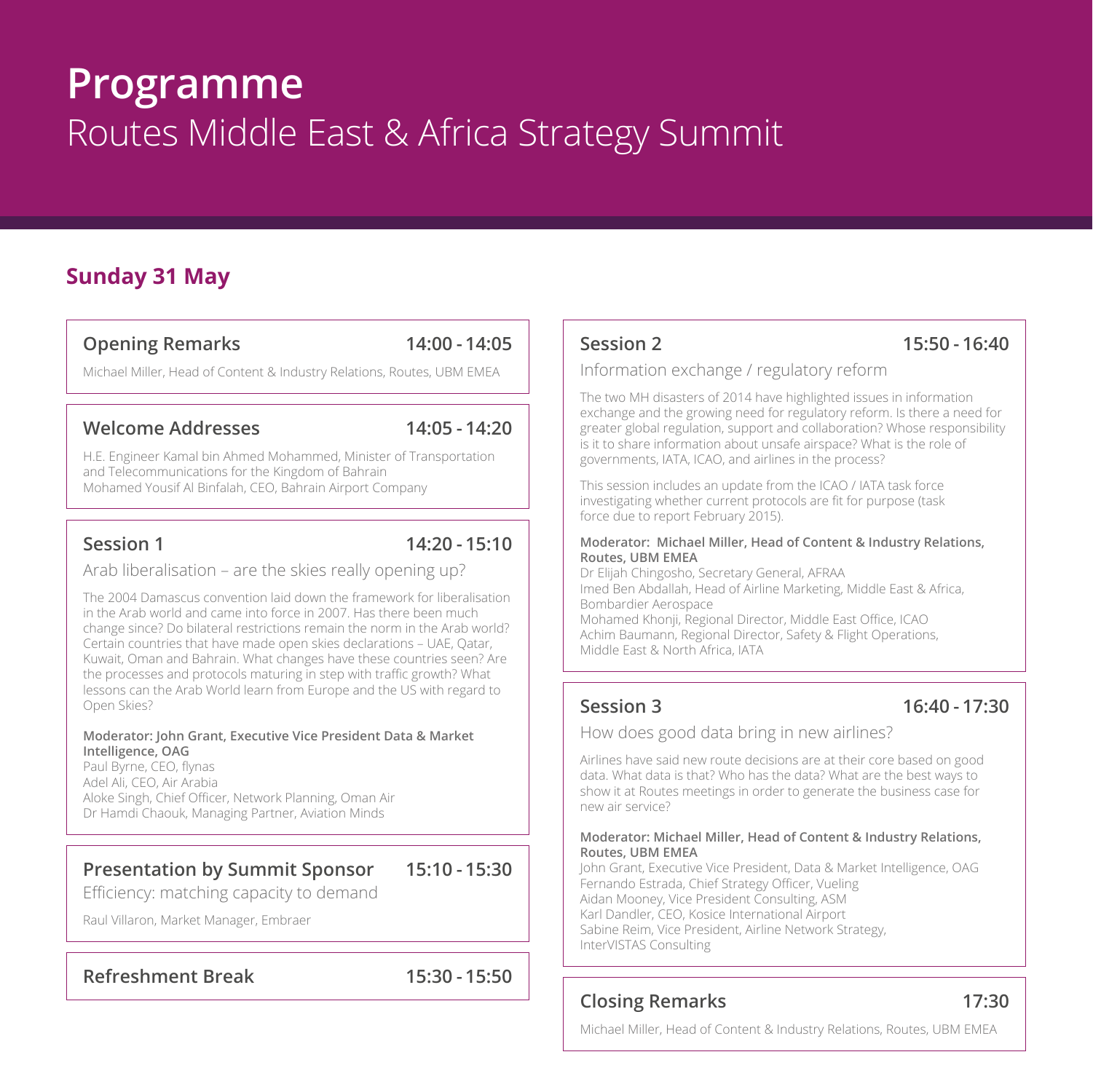## **Programme** Routes Middle East & Africa Strategy Summit

### **Sunday 31 May**

#### **Opening Remarks 14:00 - 14:05**

Michael Miller, Head of Content & Industry Relations, Routes, UBM EMEA

#### **Welcome Addresses 14:05 - 14:20**

H.E. Engineer Kamal bin Ahmed Mohammed, Minister of Transportation and Telecommunications for the Kingdom of Bahrain Mohamed Yousif Al Binfalah, CEO, Bahrain Airport Company

Session 1 14:20 - 15:10

Arab liberalisation – are the skies really opening up?

The 2004 Damascus convention laid down the framework for liberalisation in the Arab world and came into force in 2007. Has there been much change since? Do bilateral restrictions remain the norm in the Arab world? Certain countries that have made open skies declarations – UAE, Qatar, Kuwait, Oman and Bahrain. What changes have these countries seen? Are the processes and protocols maturing in step with traffic growth? What lessons can the Arab World learn from Europe and the US with regard to Open Skies?

#### **Moderator: John Grant, Executive Vice President Data & Market Intelligence, OAG**

Paul Byrne, CEO, flynas Adel Ali, CEO, Air Arabia Aloke Singh, Chief Officer, Network Planning, Oman Air Dr Hamdi Chaouk, Managing Partner, Aviation Minds

### **Presentation by Summit Sponsor 15:10 - 15:30**

Efficiency: matching capacity to demand

Raul Villaron, Market Manager, Embraer

#### **Refreshment Break 15:30 - 15:50**

### **Session 2 15:50 - 16:40**

#### Information exchange / regulatory reform

The two MH disasters of 2014 have highlighted issues in information exchange and the growing need for regulatory reform. Is there a need for greater global regulation, support and collaboration? Whose responsibility is it to share information about unsafe airspace? What is the role of governments, IATA, ICAO, and airlines in the process?

This session includes an update from the ICAO / IATA task force investigating whether current protocols are fit for purpose (task force due to report February 2015).

#### **Moderator: Michael Miller, Head of Content & Industry Relations, Routes, UBM EMEA**

Dr Elijah Chingosho, Secretary General, AFRAA Imed Ben Abdallah, Head of Airline Marketing, Middle East & Africa, Bombardier Aerospace Mohamed Khonji, Regional Director, Middle East Office, ICAO Achim Baumann, Regional Director, Safety & Flight Operations, Middle East & North Africa, IATA

### **Session 3 16:40 - 17:30**

How does good data bring in new airlines?

Airlines have said new route decisions are at their core based on good data. What data is that? Who has the data? What are the best ways to show it at Routes meetings in order to generate the business case for new air service?

#### **Moderator: Michael Miller, Head of Content & Industry Relations, Routes, UBM EMEA**

John Grant, Executive Vice President, Data & Market Intelligence, OAG Fernando Estrada, Chief Strategy Officer, Vueling Aidan Mooney, Vice President Consulting, ASM Karl Dandler, CEO, Kosice International Airport Sabine Reim, Vice President, Airline Network Strategy, InterVISTAS Consulting

### **Closing Remarks 17:30**

Michael Miller, Head of Content & Industry Relations, Routes, UBM EMEA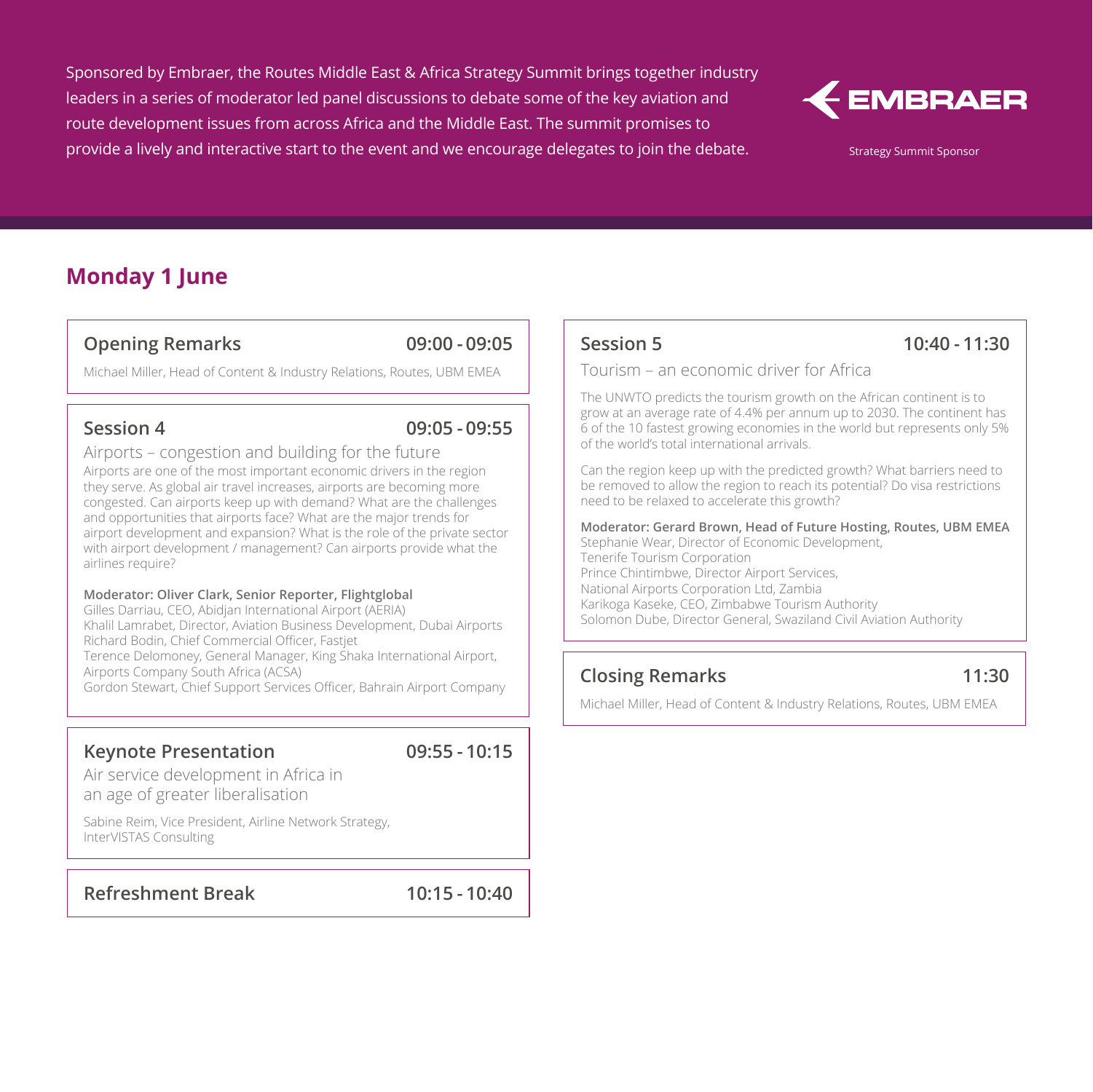Sponsored by Embraer, the Routes Middle East & Africa Strategy Summit brings together industry leaders in a series of moderator led panel discussions to debate some of the key aviation and route development issues from across Africa and the Middle East. The summit promises to provide a lively and interactive start to the event and we encourage delegates to join the debate.



Strategy Summit Sponsor

### **Monday 1 June**

#### **Opening Remarks 09:00 - 09:05**

Michael Miller, Head of Content & Industry Relations, Routes, UBM EMEA

#### **Session 4 09:05 - 09:55**

Airports – congestion and building for the future Airports are one of the most important economic drivers in the region they serve. As global air travel increases, airports are becoming more congested. Can airports keep up with demand? What are the challenges and opportunities that airports face? What are the major trends for airport development and expansion? What is the role of the private sector with airport development / management? Can airports provide what the airlines require?

#### **Moderator: Oliver Clark, Senior Reporter, Flightglobal**

Gilles Darriau, CEO, Abidjan International Airport (AERIA) Khalil Lamrabet, Director, Aviation Business Development, Dubai Airports Richard Bodin, Chief Commercial Officer, Fastjet Terence Delomoney, General Manager, King Shaka International Airport, Airports Company South Africa (ACSA) Gordon Stewart, Chief Support Services Officer, Bahrain Airport Company

#### **Keynote Presentation 09:55 - 10:15**

Air service development in Africa in an age of greater liberalisation

Sabine Reim, Vice President, Airline Network Strategy, InterVISTAS Consulting

**Refreshment Break 10:15 - 10:40**

#### **Session 5 10:40 - 11:30**

Tourism – an economic driver for Africa

The UNWTO predicts the tourism growth on the African continent is to grow at an average rate of 4.4% per annum up to 2030. The continent has 6 of the 10 fastest growing economies in the world but represents only 5% of the world's total international arrivals.

Can the region keep up with the predicted growth? What barriers need to be removed to allow the region to reach its potential? Do visa restrictions need to be relaxed to accelerate this growth?

**Moderator: Gerard Brown, Head of Future Hosting, Routes, UBM EMEA** Stephanie Wear, Director of Economic Development, Tenerife Tourism Corporation Prince Chintimbwe, Director Airport Services, National Airports Corporation Ltd, Zambia Karikoga Kaseke, CEO, Zimbabwe Tourism Authority Solomon Dube, Director General, Swaziland Civil Aviation Authority

#### **Closing Remarks 11:30**

Michael Miller, Head of Content & Industry Relations, Routes, UBM EMEA